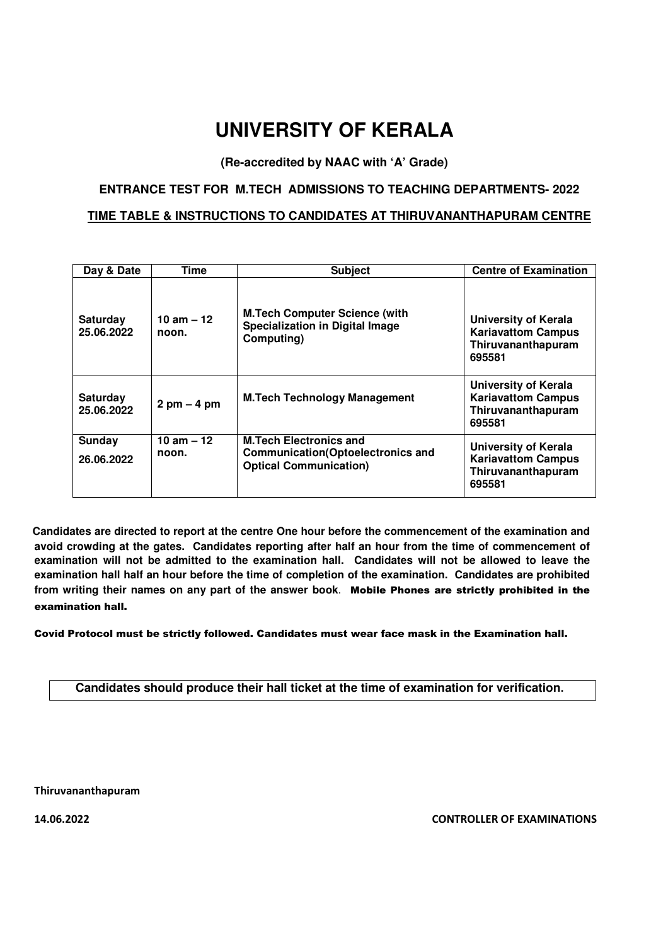# **UNIVERSITY OF KERALA**

**(Re-accredited by NAAC with 'A' Grade)** 

#### **ENTRANCE TEST FOR M.TECH ADMISSIONS TO TEACHING DEPARTMENTS- 2022**

#### **TIME TABLE & INSTRUCTIONS TO CANDIDATES AT THIRUVANANTHAPURAM CENTRE**

| Day & Date                    | Time                          | <b>Subject</b>                                                                                             | <b>Centre of Examination</b>                                                             |
|-------------------------------|-------------------------------|------------------------------------------------------------------------------------------------------------|------------------------------------------------------------------------------------------|
| <b>Saturday</b><br>25.06.2022 | 10 am $-12$<br>noon.          | <b>M.Tech Computer Science (with</b><br><b>Specialization in Digital Image</b><br>Computing)               | <b>University of Kerala</b><br><b>Kariavattom Campus</b><br>Thiruvananthapuram<br>695581 |
| <b>Saturday</b><br>25.06.2022 | $2 \text{ pm} - 4 \text{ pm}$ | <b>M.Tech Technology Management</b>                                                                        | <b>University of Kerala</b><br><b>Kariavattom Campus</b><br>Thiruvananthapuram<br>695581 |
| Sunday<br>26.06.2022          | 10 am $-12$<br>noon.          | <b>M.Tech Electronics and</b><br><b>Communication(Optoelectronics and</b><br><b>Optical Communication)</b> | University of Kerala<br><b>Kariavattom Campus</b><br>Thiruvananthapuram<br>695581        |

 **Candidates are directed to report at the centre One hour before the commencement of the examination and avoid crowding at the gates. Candidates reporting after half an hour from the time of commencement of examination will not be admitted to the examination hall. Candidates will not be allowed to leave the examination hall half an hour before the time of completion of the examination. Candidates are prohibited from writing their names on any part of the answer book**. Mobile Phones are strictly prohibited in the examination hall.

Covid Protocol must be strictly followed. Candidates must wear face mask in the Examination hall.

**Candidates should produce their hall ticket at the time of examination for verification**.

Thiruvananthapuram

14.06.2022 CONTROLLER OF EXAMINATIONS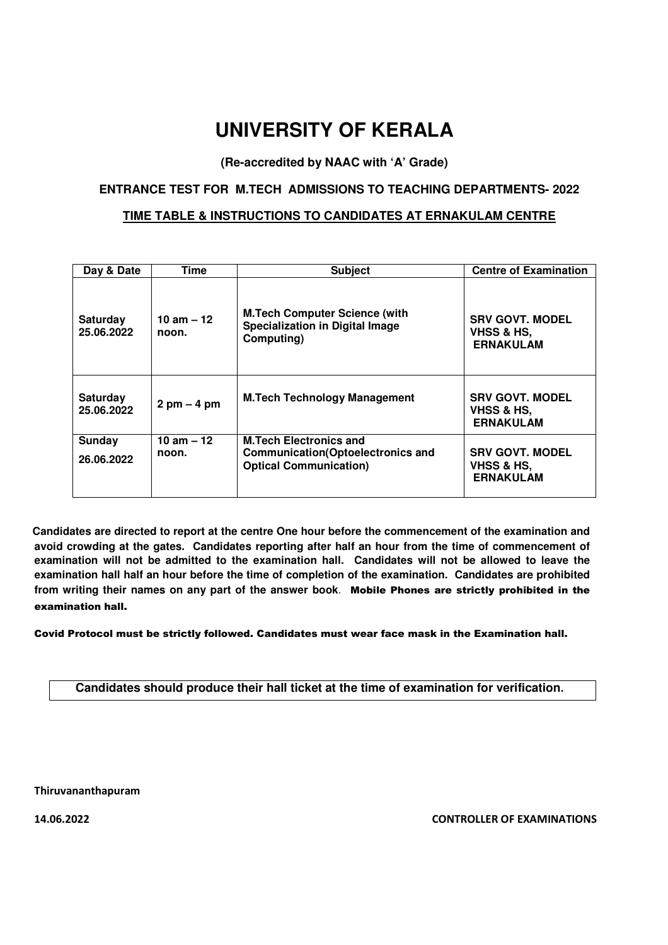# **UNIVERSITY OF KERALA**

**(Re-accredited by NAAC with 'A' Grade)** 

## **ENTRANCE TEST FOR M.TECH ADMISSIONS TO TEACHING DEPARTMENTS- 2022**

#### **TIME TABLE & INSTRUCTIONS TO CANDIDATES AT ERNAKULAM CENTRE**

| Day & Date                    | Time                          | <b>Subject</b>                                                                                             | <b>Centre of Examination</b>                             |
|-------------------------------|-------------------------------|------------------------------------------------------------------------------------------------------------|----------------------------------------------------------|
| Saturday<br>25.06.2022        | 10 am $-12$<br>noon.          | <b>M.Tech Computer Science (with</b><br><b>Specialization in Digital Image</b><br>Computing)               | <b>SRV GOVT. MODEL</b><br>VHSS & HS,<br><b>ERNAKULAM</b> |
| <b>Saturday</b><br>25.06.2022 | $2 \text{ pm} - 4 \text{ pm}$ | <b>M.Tech Technology Management</b>                                                                        | <b>SRV GOVT. MODEL</b><br>VHSS & HS.<br><b>ERNAKULAM</b> |
| Sunday<br>26.06.2022          | 10 am $-12$<br>noon.          | <b>M.Tech Electronics and</b><br><b>Communication(Optoelectronics and</b><br><b>Optical Communication)</b> | <b>SRV GOVT. MODEL</b><br>VHSS & HS.<br><b>ERNAKULAM</b> |

 **Candidates are directed to report at the centre One hour before the commencement of the examination and avoid crowding at the gates. Candidates reporting after half an hour from the time of commencement of examination will not be admitted to the examination hall. Candidates will not be allowed to leave the examination hall half an hour before the time of completion of the examination. Candidates are prohibited from writing their names on any part of the answer book**. Mobile Phones are strictly prohibited in the examination hall.

Covid Protocol must be strictly followed. Candidates must wear face mask in the Examination hall.

**Candidates should produce their hall ticket at the time of examination for verification**.

Thiruvananthapuram

14.06.2022 CONTROLLER OF EXAMINATIONS